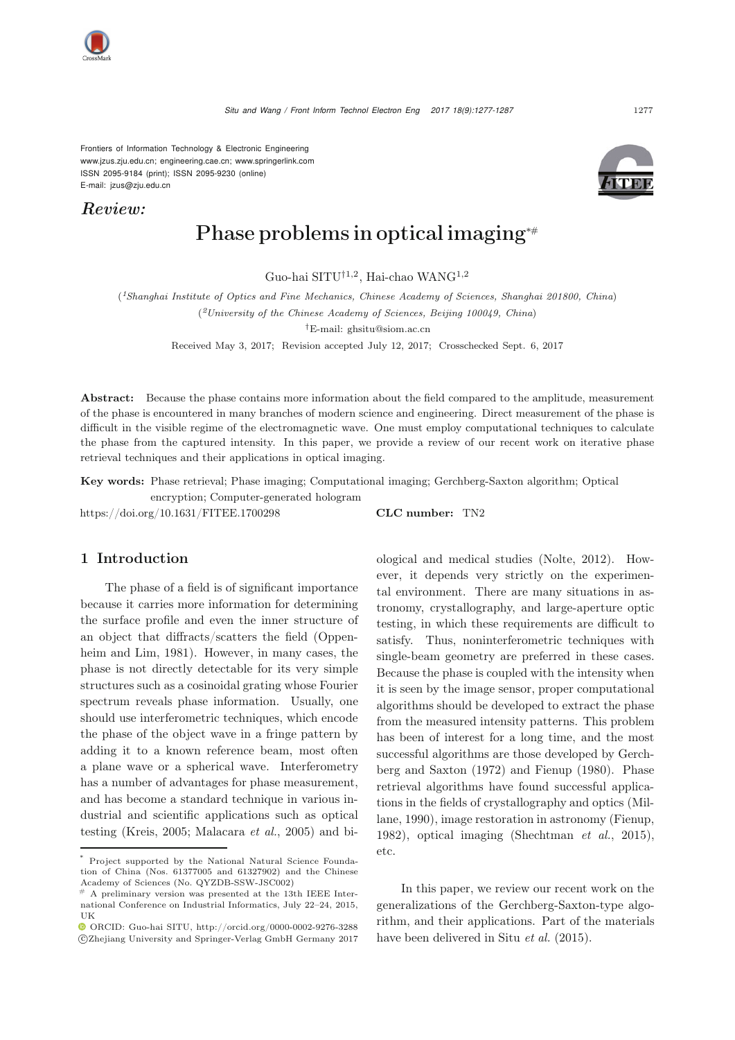*Situ and Wang / Front Inform Technol Electron Eng 2017 18(9):1277-1287* 1277

Frontiers of Information Technology & Electronic Engineering [www.jzus.zju.edu.cn;](www.jzus.zju.edu.cn) [engineering.cae.cn;](engineering.cae.cn)<www.springerlink.com> ISSN 2095-9184 (print); ISSN 2095-9230 (online) E-mail: jzus@zju.edu.cn

*Review:*

# Phase problems in optical imaging<sup>∗</sup>#

Guo-hai SITU†1,2, Hai-chao WANG1,2

(*1Shanghai Institute of Optics and Fine Mechanics, Chinese Academy of Sciences, Shanghai 201800, China*) (*2University of the Chinese Academy of Sciences, Beijing 100049, China*)

*†*E-mail: ghsitu@siom.ac.cn

Received May 3, 2017; Revision accepted July 12, 2017; Crosschecked Sept. 6, 2017

Abstract: Because the phase contains more information about the field compared to the amplitude, measurement of the phase is encountered in many branches of modern science and engineering. Direct measurement of the phase is difficult in the visible regime of the electromagnetic wave. One must employ computational techniques to calculate the phase from the captured intensity. In this paper, we provide a review of our recent work on iterative phase retrieval techniques and their applications in optical imaging.

Key words: Phase retrieval; Phase imaging; Computational imaging; Gerchberg-Saxton algorithm; Optical

encryption; Computer-generated hologram https://doi.org/10.1631/FITEE.1700298 CLC number: TN2

## 1 Introduction

The phase of a field is of significant importance because it carries more information for determining the surface profile and even the inner structure of an object tha[t](#page-9-0) [diffracts/scatters](#page-9-0) [the](#page-9-0) [field](#page-9-0) [\(](#page-9-0)Oppenheim and Lim, [1981](#page-9-0)). However, in many cases, the phase is not directly detectable for its very simple structures such as a cosinoidal grating whose Fourier spectrum reveals phase information. Usually, one should use interferometric techniques, which encode the phase of the object wave in a fringe pattern by adding it to a known reference beam, most often a plane wave or a spherical wave. Interferometry has a number of advantages for phase measurement, and has become a standard technique in various industrial and scientific applications such as optical testing [\(Kreis](#page-9-1), [2005;](#page-9-1) [Malacara](#page-9-2) *et al.*, [2005](#page-9-2)) and biological and medical studies [\(Nolte, 2012](#page-9-3)). However, it depends very strictly on the experimental environment. There are many situations in astronomy, crystallography, and large-aperture optic testing, in which these requirements are difficult to satisfy. Thus, noninterferometric techniques with single-beam geometry are preferred in these cases. Because the phase is coupled with the intensity when it is seen by the image sensor, proper computational algorithms should be developed to extract the phase from the measured intensity patterns. This problem has been of interest for a long time, and the most successful algori[thms](#page-8-0) [are](#page-8-0) [those](#page-8-0) [developed](#page-8-0) [by](#page-8-0) Gerchberg and Saxton [\(1972\)](#page-8-0) and [Fienup](#page-8-1) [\(1980](#page-8-1)). Phase retrieval algorithms have found successful application[s](#page-9-4) [in](#page-9-4) [the](#page-9-4) [fields](#page-9-4) [of](#page-9-4) [crystallography](#page-9-4) [and](#page-9-4) [optics](#page-9-4) [\(](#page-9-4)Millane, [1990](#page-9-4)), image restoration in astronomy [\(Fienup](#page-8-2), [1982](#page-8-2)), optical imaging [\(Shechtman](#page-9-5) *et al.*, [2015\)](#page-9-5), etc.

In this paper, we review our recent work on the generalizations of the Gerchberg-Saxton-type algorithm, and their applications. Part of the materials have been delivered in Situ *[et al.](#page-9-6)* [\(2015](#page-9-6)).





Project supported by the National Natural Science Foundation of China (Nos. 61377005 and 61327902) and the Chinese Academy of Sciences (No. QYZDB-SSW-JSC002)

 $#$  A preliminary version was presented at the 13th IEEE International Conference on Industrial Informatics, July 22–24, 2015, UK

ORCID: Guo-hai SITU, http://orcid.org/0000-0002-9276-3288 c Zhejiang University and Springer-Verlag GmbH Germany 2017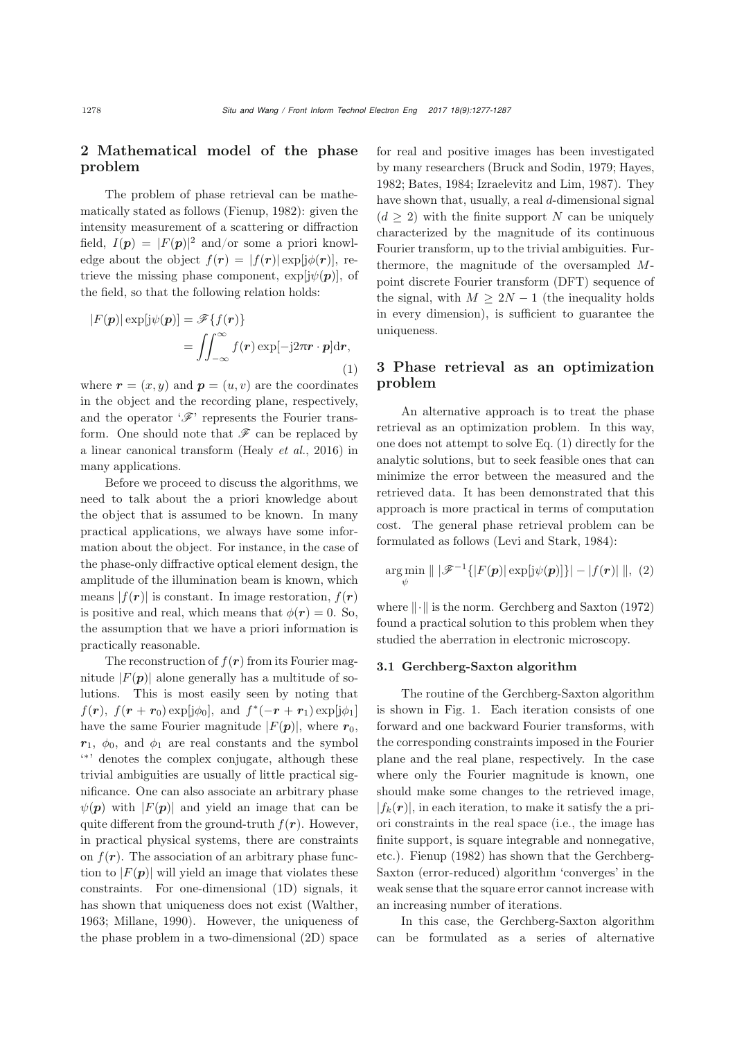# 2 Mathematical model of the phase problem

The problem of phase retrieval can be mathematically stated as follows [\(Fienup, 1982\)](#page-8-2): given the intensity measurement of a scattering or diffraction field,  $I(\mathbf{p}) = |F(\mathbf{p})|^2$  and/or some a priori knowledge about the object  $f(\mathbf{r}) = |f(\mathbf{r})| \exp[i\phi(\mathbf{r})]$ , retrieve the missing phase component,  $\exp[j\psi(\boldsymbol{p})]$ , of the field, so that the following relation holds:

<span id="page-1-0"></span>
$$
|F(\mathbf{p})| \exp[\mathrm{j}\psi(\mathbf{p})] = \mathscr{F}\{f(\mathbf{r})\}
$$

$$
= \iint_{-\infty}^{\infty} f(\mathbf{r}) \exp[-\mathrm{j}2\pi \mathbf{r} \cdot \mathbf{p}] d\mathbf{r},
$$
(1)

where  $\mathbf{r} = (x, y)$  and  $\mathbf{p} = (u, v)$  are the coordinates in the object and the recording plane, respectively, and the operator  $\mathscr{F}$  represents the Fourier transform. One should note that  $\mathscr F$  can be replaced by a linear canonical transform [\(Healy](#page-9-7) *et al.*, [2016](#page-9-7)) in many applications.

Before we proceed to discuss the algorithms, we need to talk about the a priori knowledge about the object that is assumed to be known. In many practical applications, we always have some information about the object. For instance, in the case of the phase-only diffractive optical element design, the amplitude of the illumination beam is known, which means  $|f(\mathbf{r})|$  is constant. In image restoration,  $f(\mathbf{r})$ is positive and real, which means that  $\phi(\mathbf{r})=0$ . So, the assumption that we have a priori information is practically reasonable.

The reconstruction of  $f(r)$  from its Fourier magnitude  $|F(\boldsymbol{p})|$  alone generally has a multitude of solutions. This is most easily seen by noting that  $f(\mathbf{r})$ ,  $f(\mathbf{r} + \mathbf{r}_0) \exp[i\phi_0]$ , and  $f^*(-\mathbf{r} + \mathbf{r}_1) \exp[i\phi_1]$ have the same Fourier magnitude  $|F(\boldsymbol{p})|$ , where  $r_0$ ,  $r_1$ ,  $\phi_0$ , and  $\phi_1$  are real constants and the symbol ' <sup>∗</sup>' denotes the complex conjugate, although these trivial ambiguities are usually of little practical significance. One can also associate an arbitrary phase  $\psi(\mathbf{p})$  with  $|F(\mathbf{p})|$  and yield an image that can be quite different from the ground-truth  $f(r)$ . However, in practical physical systems, there are constraints on  $f(\mathbf{r})$ . The association of an arbitrary phase function to  $|F(\mathbf{p})|$  will yield an image that violates these constraints. For one-dimensional (1D) signals, it has shown that uniqueness does not exist [\(Walther](#page-10-0), [1963](#page-10-0); [Millane, 1990](#page-9-4)). However, the uniqueness of the phase problem in a two-dimensional (2D) space

for real and positive images has been investigated by many researchers [\(Bruck and Sodin, 1979;](#page-8-3) [Hayes,](#page-9-8) [1982](#page-9-8); [Bates](#page-8-4), [1984](#page-8-4); [Izraelevitz and Lim](#page-9-9), [1987\)](#page-9-9). They have shown that, usually, a real d-dimensional signal  $(d \geq 2)$  with the finite support N can be uniquely characterized by the magnitude of its continuous Fourier transform, up to the trivial ambiguities. Furthermore, the magnitude of the oversampled Mpoint discrete Fourier transform (DFT) sequence of the signal, with  $M \geq 2N - 1$  (the inequality holds in every dimension), is sufficient to guarantee the uniqueness.

# 3 Phase retrieval as an optimization problem

An alternative approach is to treat the phase retrieval as an optimization problem. In this way, one does not attempt to solve Eq. [\(1\)](#page-1-0) directly for the analytic solutions, but to seek feasible ones that can minimize the error between the measured and the retrieved data. It has been demonstrated that this approach is more practical in terms of computation cost. The general phase retrieval problem can be formulated as follows [\(Levi and Stark, 1984](#page-9-10)):

$$
\underset{\psi}{\arg\min} \parallel |\mathscr{F}^{-1}\{|F(\boldsymbol{p})| \exp[j\psi(\boldsymbol{p})]\}| - |f(\boldsymbol{r})| \parallel, (2)
$$

where  $\|\cdot\|$  is the norm. [Gerchberg and Saxton](#page-8-0) [\(1972](#page-8-0)) found a practical solution to this problem when they studied the aberration in electronic microscopy.

## 3.1 Gerchberg-Saxton algorithm

The routine of the Gerchberg-Saxton algorithm is shown in Fig. [1.](#page-2-0) Each iteration consists of one forward and one backward Fourier transforms, with the corresponding constraints imposed in the Fourier plane and the real plane, respectively. In the case where only the Fourier magnitude is known, one should make some changes to the retrieved image,  $|f_k(\mathbf{r})|$ , in each iteration, to make it satisfy the a priori constraints in the real space (i.e., the image has finite support, is square integrable and nonnegative, etc.). [Fienup](#page-8-2) [\(1982](#page-8-2)) has shown that the Gerchberg-Saxton (error-reduced) algorithm 'converges' in the weak sense that the square error cannot increase with an increasing number of iterations.

In this case, the Gerchberg-Saxton algorithm can be formulated as a series of alternative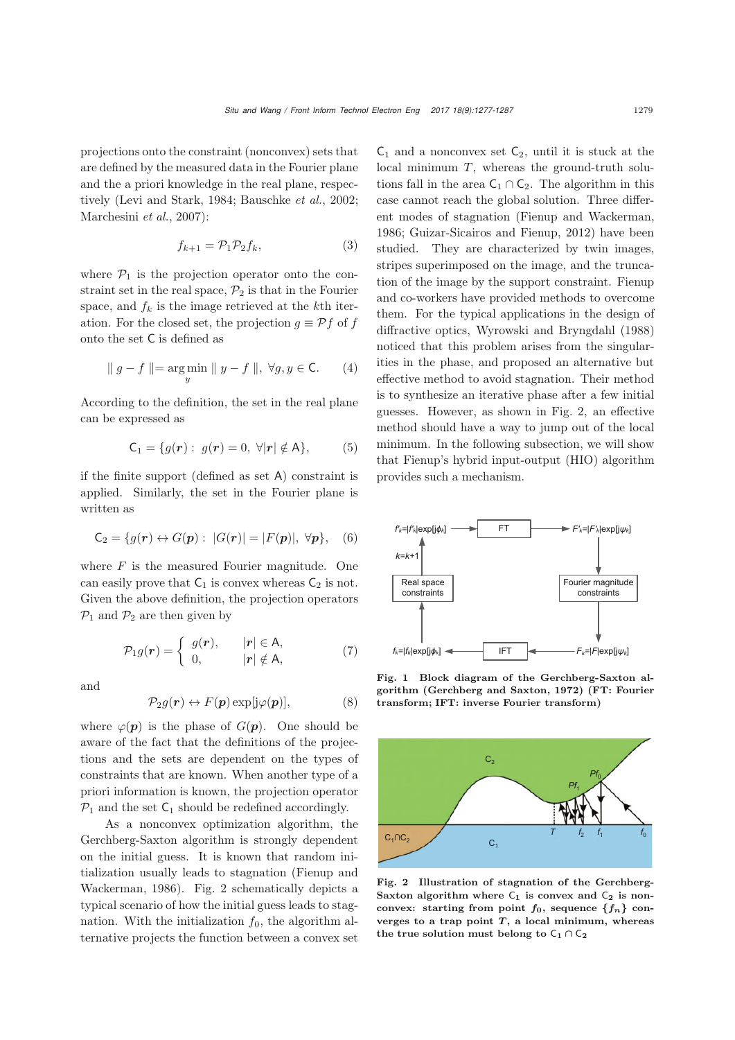projections onto the constraint (nonconvex) sets that are defined by the measured data in the Fourier plane and the a priori knowledge in the real plane, respectively [\(Levi and Stark](#page-9-10), [1984;](#page-9-10) [Bauschke](#page-8-5) *et al.*, [2002;](#page-8-5) [Marchesini](#page-9-11) *et al.*, [2007\)](#page-9-11):

$$
f_{k+1} = \mathcal{P}_1 \mathcal{P}_2 f_k, \tag{3}
$$

where  $P_1$  is the projection operator onto the constraint set in the real space,  $\mathcal{P}_2$  is that in the Fourier space, and  $f_k$  is the image retrieved at the kth iteration. For the closed set, the projection  $g \equiv \mathcal{P} f$  of f onto the set C is defined as

$$
\parallel g - f \parallel = \underset{y}{\arg \min} \parallel y - f \parallel, \ \forall g, y \in \mathsf{C}.\tag{4}
$$

According to the definition, the set in the real plane can be expressed as

$$
C_1 = \{ g(\mathbf{r}) : g(\mathbf{r}) = 0, \ \forall |\mathbf{r}| \notin A \}, \tag{5}
$$

if the finite support (defined as set A) constraint is applied. Similarly, the set in the Fourier plane is written as

<span id="page-2-3"></span>
$$
C_2 = \{g(\mathbf{r}) \leftrightarrow G(\mathbf{p}) : \ |G(\mathbf{r})| = |F(\mathbf{p})|, \ \forall \mathbf{p}\}, \quad (6)
$$

where  $F$  is the measured Fourier magnitude. One can easily prove that  $C_1$  is convex whereas  $C_2$  is not. Given the above definition, the projection operators  $\mathcal{P}_1$  and  $\mathcal{P}_2$  are then given by

<span id="page-2-2"></span>
$$
\mathcal{P}_1 g(\mathbf{r}) = \begin{cases} g(\mathbf{r}), & |\mathbf{r}| \in \mathsf{A}, \\ 0, & |\mathbf{r}| \notin \mathsf{A}, \end{cases} \tag{7}
$$

and

$$
\mathcal{P}_2 g(\mathbf{r}) \leftrightarrow F(\mathbf{p}) \exp[j\varphi(\mathbf{p})],\tag{8}
$$

where  $\varphi(\mathbf{p})$  is the phase of  $G(\mathbf{p})$ . One should be aware of the fact that the definitions of the projections and the sets are dependent on the types of constraints that are known. When another type of a priori information is known, the projection operator  $\mathcal{P}_1$  and the set  $C_1$  should be redefined accordingly.

As a nonconvex optimization algorithm, the Gerchberg-Saxton algorithm is strongly dependent on the initial guess. It is known that random initialization [usually](#page-8-6) [leads](#page-8-6) [to](#page-8-6) [stagnation](#page-8-6) [\(](#page-8-6)Fienup and Wackerman, [1986\)](#page-8-6). Fig. [2](#page-2-1) schematically depicts a typical scenario of how the initial guess leads to stagnation. With the initialization  $f_0$ , the algorithm alternative projects the function between a convex set

 $C_1$  and a nonconvex set  $C_2$ , until it is stuck at the local minimum  $T$ , whereas the ground-truth solutions fall in the area  $C_1 \cap C_2$ . The algorithm in this case cannot reach the global solution. Three different modes of stagnation [\(Fienup and Wackerman,](#page-8-6) [1986](#page-8-6); [Guizar-Sicairos and Fienup, 2012\)](#page-9-12) have been studied. They are characterized by twin images, stripes superimposed on the image, and the truncation of the image by the support constraint. Fienup and co-workers have provided methods to overcome them. For the typical applications in the design of diffractive optics, [Wyrowski and Bryngdahl](#page-10-1) [\(1988](#page-10-1)) noticed that this problem arises from the singularities in the phase, and proposed an alternative but effective method to avoid stagnation. Their method is to synthesize an iterative phase after a few initial guesses. However, as shown in Fig. [2,](#page-2-1) an effective method should have a way to jump out of the local minimum. In the following subsection, we will show that Fienup's hybrid input-output (HIO) algorithm provides such a mechanism.



<span id="page-2-0"></span>Fig. 1 Block diagram of the Gerchberg-Saxton algorithm [\(Gerchberg and Saxton](#page-8-0), [1972\)](#page-8-0) (FT: Fourier transform; IFT: inverse Fourier transform)



<span id="page-2-1"></span>Fig. 2 Illustration of stagnation of the Gerchberg-Saxton algorithm where  $C_1$  is convex and  $C_2$  is nonconvex: starting from point  $f_0$ , sequence  ${f_n}$  converges to a trap point  $T$ , a local minimum, whereas the true solution must belong to  $\mathsf{C}_1 \cap \mathsf{C}_2$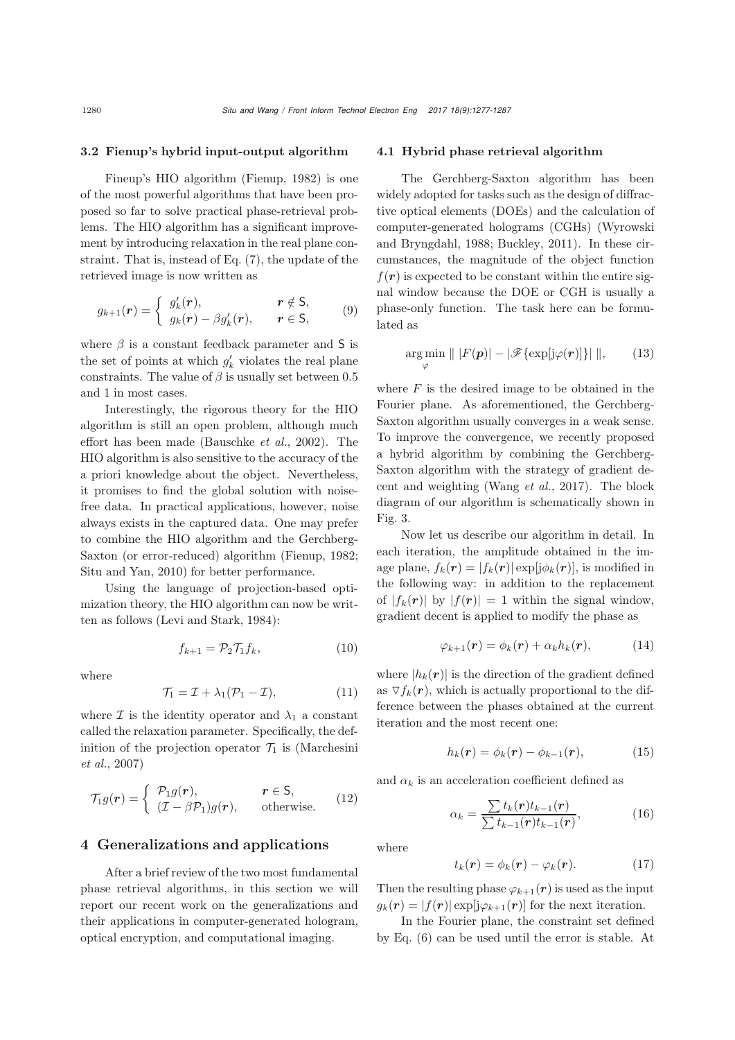#### 3.2 Fienup's hybrid input-output algorithm

Fineup's HIO algorithm [\(Fienup](#page-8-2), [1982\)](#page-8-2) is one of the most powerful algorithms that have been proposed so far to solve practical phase-retrieval problems. The HIO algorithm has a significant improvement by introducing relaxation in the real plane constraint. That is, instead of Eq. [\(7\)](#page-2-2), the update of the retrieved image is now written as

$$
g_{k+1}(\mathbf{r}) = \begin{cases} g'_k(\mathbf{r}), & \mathbf{r} \notin \mathsf{S}, \\ g_k(\mathbf{r}) - \beta g'_k(\mathbf{r}), & \mathbf{r} \in \mathsf{S}, \end{cases}
$$
(9)

where  $\beta$  is a constant feedback parameter and S is the set of points at which  $g'_k$  violates the real plane constraints. The value of  $\beta$  is usually set between 0.5 and 1 in most cases.

Interestingly, the rigorous theory for the HIO algorithm is still an open problem, although much effort has been made [\(Bauschke](#page-8-5) *et al.*, [2002\)](#page-8-5). The HIO algorithm is also sensitive to the accuracy of the a priori knowledge about the object. Nevertheless, it promises to find the global solution with noisefree data. In practical applications, however, noise always exists in the captured data. One may prefer to combine the HIO algorithm and the Gerchberg-Saxton (or error-reduced) algorithm [\(Fienup](#page-8-2), [1982;](#page-8-2) [Situ and Yan](#page-9-13), [2010\)](#page-9-13) for better performance.

Using the language of projection-based optimization theory, the HIO algorithm can now be written as follows [\(Levi and Stark, 1984](#page-9-10)):

$$
f_{k+1} = \mathcal{P}_2 \mathcal{T}_1 f_k, \tag{10}
$$

where

$$
\mathcal{T}_1 = \mathcal{I} + \lambda_1 (\mathcal{P}_1 - \mathcal{I}), \tag{11}
$$

where  $\mathcal I$  is the identity operator and  $\lambda_1$  a constant called the relaxation parameter. Specifically, the definiti[on](#page-9-11) [of](#page-9-11) [the](#page-9-11) [projection](#page-9-11) [operator](#page-9-11)  $\mathcal{T}_1$  is (Marchesini *et al.*, [2007\)](#page-9-11)

$$
\mathcal{T}_1 g(\mathbf{r}) = \begin{cases} \mathcal{P}_1 g(\mathbf{r}), & \mathbf{r} \in \mathsf{S}, \\ (\mathcal{I} - \beta \mathcal{P}_1) g(\mathbf{r}), & \text{otherwise.} \end{cases} (12)
$$

## 4 Generalizations and applications

After a brief review of the two most fundamental phase retrieval algorithms, in this section we will report our recent work on the generalizations and their applications in computer-generated hologram, optical encryption, and computational imaging.

#### 4.1 Hybrid phase retrieval algorithm

The Gerchberg-Saxton algorithm has been widely adopted for tasks such as the design of diffractive optical elements (DOEs) and the calculation of computer-gene[rated](#page-10-1) [holograms](#page-10-1) [\(CGHs\)](#page-10-1) [\(](#page-10-1)Wyrowski and Bryngdahl, [1988](#page-10-1); [Buckley, 2011](#page-8-7)). In these circumstances, the magnitude of the object function  $f(\mathbf{r})$  is expected to be constant within the entire signal window because the DOE or CGH is usually a phase-only function. The task here can be formulated as

$$
\underset{\varphi}{\arg\min} \parallel |F(\boldsymbol{p})| - |\mathscr{F}\{\exp[j\varphi(\boldsymbol{r})]\}| \parallel, \qquad (13)
$$

where  $F$  is the desired image to be obtained in the Fourier plane. As aforementioned, the Gerchberg-Saxton algorithm usually converges in a weak sense. To improve the convergence, we recently proposed a hybrid algorithm by combining the Gerchberg-Saxton algorithm with the strategy of gradient decent and weighting [\(Wang](#page-10-2) *et al.*, [2017](#page-10-2)). The block diagram of our algorithm is schematically shown in Fig. [3.](#page-4-0)

Now let us describe our algorithm in detail. In each iteration, the amplitude obtained in the image plane,  $f_k(\mathbf{r}) = |f_k(\mathbf{r})| \exp[i\phi_k(\mathbf{r})]$ , is modified in the following way: in addition to the replacement of  $|f_k(r)|$  by  $|f(r)| = 1$  within the signal window, gradient decent is applied to modify the phase as

$$
\varphi_{k+1}(\boldsymbol{r}) = \phi_k(\boldsymbol{r}) + \alpha_k h_k(\boldsymbol{r}), \qquad (14)
$$

where  $|h_k(\mathbf{r})|$  is the direction of the gradient defined as  $\nabla f_k(\mathbf{r})$ , which is actually proportional to the difference between the phases obtained at the current iteration and the most recent one:

$$
h_k(\mathbf{r}) = \phi_k(\mathbf{r}) - \phi_{k-1}(\mathbf{r}), \tag{15}
$$

and  $\alpha_k$  is an acceleration coefficient defined as

$$
\alpha_k = \frac{\sum t_k(\mathbf{r})t_{k-1}(\mathbf{r})}{\sum t_{k-1}(\mathbf{r})t_{k-1}(\mathbf{r})},\tag{16}
$$

where

$$
t_k(\mathbf{r}) = \phi_k(\mathbf{r}) - \varphi_k(\mathbf{r}). \tag{17}
$$

Then the resulting phase  $\varphi_{k+1}(\mathbf{r})$  is used as the input  $g_k(\mathbf{r}) = |f(\mathbf{r})| \exp[i\varphi_{k+1}(\mathbf{r})]$  for the next iteration.

In the Fourier plane, the constraint set defined by Eq. [\(6\)](#page-2-3) can be used until the error is stable. At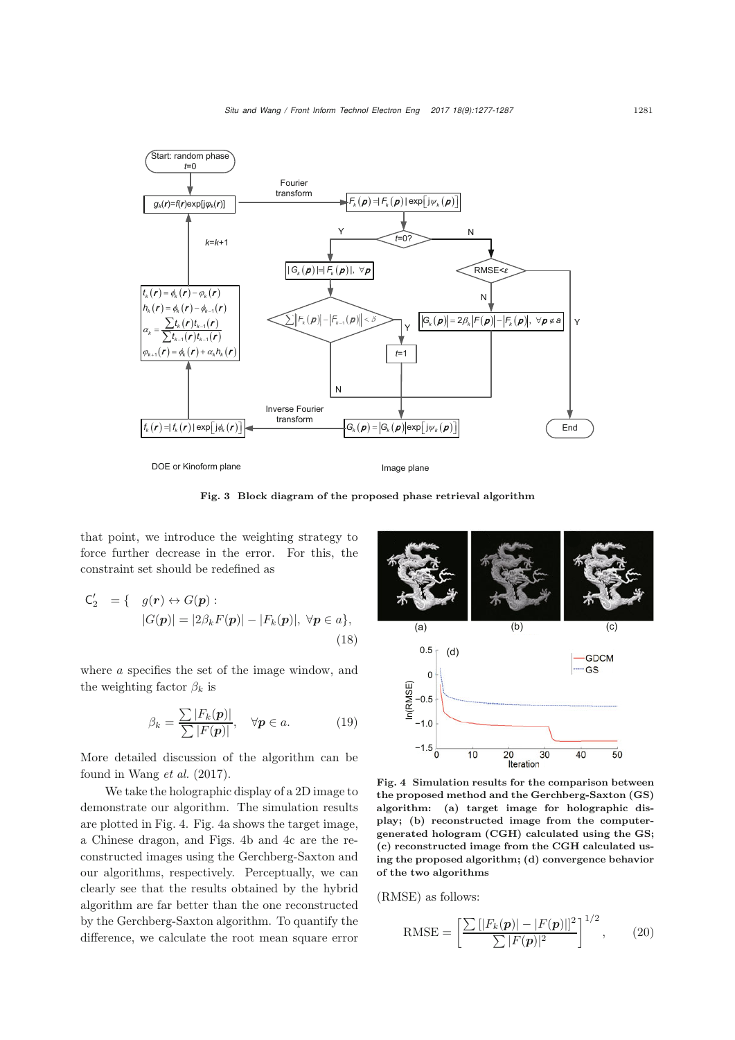

<span id="page-4-0"></span>Fig. 3 Block diagram of the proposed phase retrieval algorithm

that point, we introduce the weighting strategy to force further decrease in the error. For this, the constraint set should be redefined as

$$
C'_{2} = \{ g(r) \leftrightarrow G(p) :
$$
  
\n
$$
|G(p)| = |2\beta_{k}F(p)| - |F_{k}(p)|, \forall p \in a \},
$$
  
\n(18)

where a specifies the set of the image window, and the weighting factor  $\beta_k$  is

$$
\beta_k = \frac{\sum |F_k(\boldsymbol{p})|}{\sum |F(\boldsymbol{p})|}, \quad \forall \boldsymbol{p} \in a. \tag{19}
$$

More detailed discussion of the algorithm can be found in [Wang](#page-10-2) *et al.* [\(2017\)](#page-10-2).

We take the holographic display of a 2D image to demonstrate our algorithm. The simulation results are plotted in Fig. [4.](#page-4-1) Fig. [4a](#page-4-1) shows the target image, a Chinese dragon, and Figs. [4b](#page-4-1) and [4c](#page-4-1) are the reconstructed images using the Gerchberg-Saxton and our algorithms, respectively. Perceptually, we can clearly see that the results obtained by the hybrid algorithm are far better than the one reconstructed by the Gerchberg-Saxton algorithm. To quantify the difference, we calculate the root mean square error



<span id="page-4-1"></span>Fig. 4 Simulation results for the comparison between the proposed method and the Gerchberg-Saxton (GS) algorithm: (a) target image for holographic display; (b) reconstructed image from the computergenerated hologram (CGH) calculated using the GS; (c) reconstructed image from the CGH calculated using the proposed algorithm; (d) convergence behavior of the two algorithms

(RMSE) as follows:

RMSE = 
$$
\left[\frac{\sum [|F_k(\mathbf{p})| - |F(\mathbf{p})|]^2}{\sum |F(\mathbf{p})|^2}\right]^{1/2},
$$
 (20)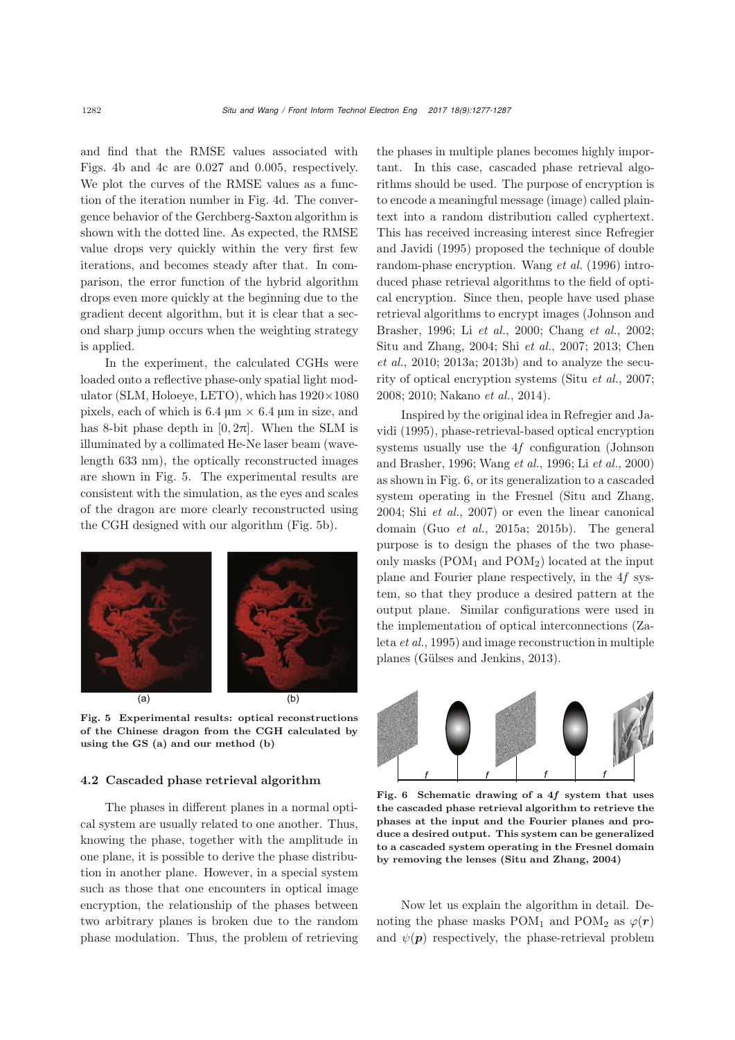and find that the RMSE values associated with Figs. [4b](#page-4-1) and [4c](#page-4-1) are 0.027 and 0.005, respectively. We plot the curves of the RMSE values as a function of the iteration number in Fig. [4d](#page-4-1). The convergence behavior of the Gerchberg-Saxton algorithm is shown with the dotted line. As expected, the RMSE value drops very quickly within the very first few iterations, and becomes steady after that. In comparison, the error function of the hybrid algorithm drops even more quickly at the beginning due to the gradient decent algorithm, but it is clear that a second sharp jump occurs when the weighting strategy is applied.

In the experiment, the calculated CGHs were loaded onto a reflective phase-only spatial light modulator (SLM, Holoeye, LETO), which has  $1920 \times 1080$ pixels, each of which is  $6.4 \mu m \times 6.4 \mu m$  in size, and has 8-bit phase depth in  $[0, 2\pi]$ . When the SLM is illuminated by a collimated He-Ne laser beam (wavelength 633 nm), the optically reconstructed images are shown in Fig. [5.](#page-5-0) The experimental results are consistent with the simulation, as the eyes and scales of the dragon are more clearly reconstructed using the CGH designed with our algorithm (Fig. [5b](#page-5-0)).



<span id="page-5-0"></span>Fig. 5 Experimental results: optical reconstructions of the Chinese dragon from the CGH calculated by using the GS (a) and our method (b)

#### <span id="page-5-2"></span>4.2 Cascaded phase retrieval algorithm

The phases in different planes in a normal optical system are usually related to one another. Thus, knowing the phase, together with the amplitude in one plane, it is possible to derive the phase distribution in another plane. However, in a special system such as those that one encounters in optical image encryption, the relationship of the phases between two arbitrary planes is broken due to the random phase modulation. Thus, the problem of retrieving the phases in multiple planes becomes highly important. In this case, cascaded phase retrieval algorithms should be used. The purpose of encryption is to encode a meaningful message (image) called plaintext into a random distribution called cyphertext. This has r[eceived](#page-9-14) [increasing](#page-9-14) [interest](#page-9-14) [since](#page-9-14) Refregier and Javidi [\(1995](#page-9-14)) proposed the technique of double random-phase encryption. [Wang](#page-10-3) *et al.* [\(1996](#page-10-3)) introduced phase retrieval algorithms to the field of optical encryption. Since then, people have used phase retrieval algorithms to encrypt images (Johnson and Brasher, 1996; Li *et al.*, 2000; Chang *et al.*, 2002; Situ and Zhang, 2004; Shi *et al.*, 2007; 2013; Chen *et al.*, 2010; 2013a; 2013b) and to analyze the security of optical encryption systems (Situ *et al.*, 2007; 2008; 2010; Nakano *et al.*, 2014).

[Inspired](#page-9-14) [by](#page-9-14) [the](#page-9-14) [original](#page-9-14) [idea](#page-9-14) [in](#page-9-14) Refregier and Javidi [\(1995](#page-9-14)), phase-retrieval-based optical encryption systems usually use the 4*f* [configuration](#page-9-15) [\(](#page-9-15)Johnson and Brasher, [1996](#page-9-15); [Wang](#page-10-3) *et al.*, [1996;](#page-10-3) Li *[et al.](#page-9-16)*, [2000](#page-9-16)) as shown in Fig. [6,](#page-5-1) or its generalization to a cascaded system operating in the Fresnel [\(Situ and Zhang](#page-9-17), [2004](#page-9-17); Shi *[et al.](#page-9-18)*, [2007](#page-9-18)) or even the linear canonical domain (Guo *et al.*, 2015a; 2015b). The general purpose is to design the phases of the two phaseonly masks  $(POM_1 \text{ and } POM_2)$  located at the input plane and Fourier plane respectively, in the 4*f* system, so that they produce a desired pattern at the output plane. Similar configurations were used in the impl[ementation](#page-10-4) [of](#page-10-4) [optical](#page-10-4) [interconnections](#page-10-4) [\(](#page-10-4)Zaleta *et al.*, [1995\)](#page-10-4) and image reconstruction in multiple planes [\(Gülses and Jenkins](#page-9-19), [2013](#page-9-19)).



<span id="page-5-1"></span>Fig. 6 Schematic drawing of a 4*f* system that uses the cascaded phase retrieval algorithm to retrieve the phases at the input and the Fourier planes and produce a desired output. This system can be generalized to a cascaded system operating in the Fresnel domain by removing the lenses [\(Situ and Zhang](#page-9-17), [2004\)](#page-9-17)

Now let us explain the algorithm in detail. Denoting the phase masks POM<sub>1</sub> and POM<sub>2</sub> as  $\varphi(\mathbf{r})$ and  $\psi(\mathbf{p})$  respectively, the phase-retrieval problem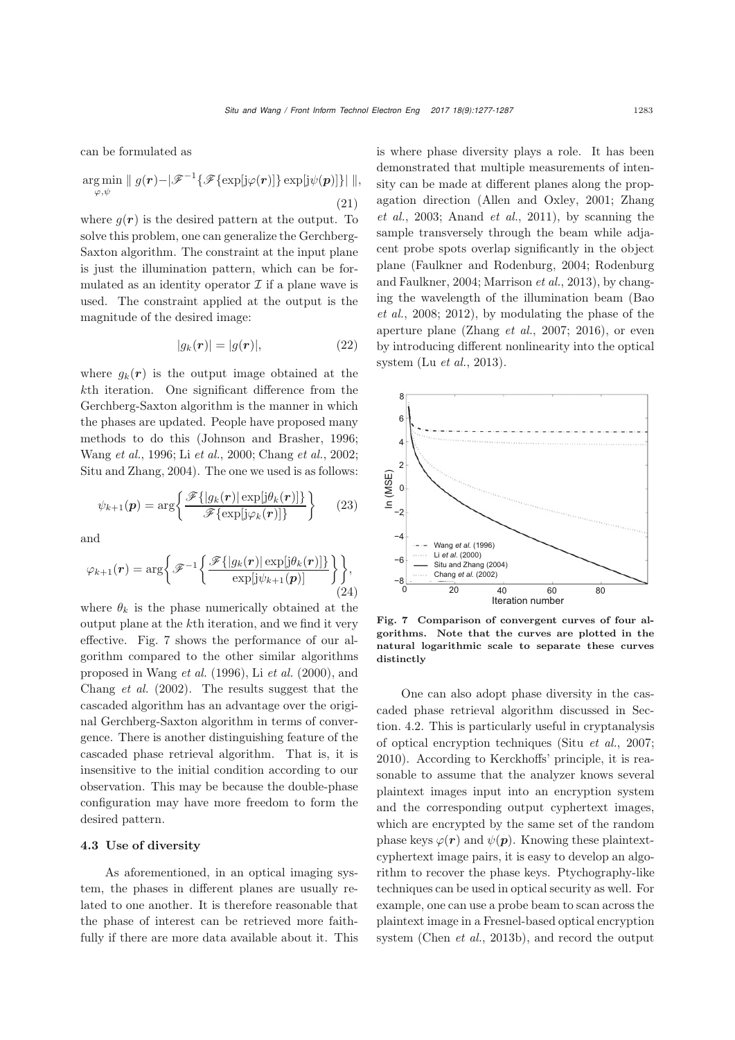can be formulated as

$$
\underset{\varphi,\psi}{\arg\min} \parallel g(\mathbf{r}) - \mid \mathscr{F}^{-1}\{\mathscr{F}\{\exp[j\varphi(\mathbf{r})]\}\exp[j\psi(\mathbf{p})]\}\parallel, \tag{21}
$$

where  $g(r)$  is the desired pattern at the output. To solve this problem, one can generalize the Gerchberg-Saxton algorithm. The constraint at the input plane is just the illumination pattern, which can be formulated as an identity operator  $\mathcal I$  if a plane wave is used. The constraint applied at the output is the magnitude of the desired image:

$$
|g_k(\mathbf{r})| = |g(\mathbf{r})|,\tag{22}
$$

where  $q_k(r)$  is the output image obtained at the kth iteration. One significant difference from the Gerchberg-Saxton algorithm is the manner in which the phases are updated. People have proposed many methods to do this [\(Johnson and Brasher, 1996;](#page-9-15) [Wang](#page-10-3) *et al.*, [1996](#page-10-3); Li *[et al.](#page-9-16)*, [2000](#page-9-16); [Chang](#page-8-8) *et al.*, [2002;](#page-8-8) [Situ and Zhang, 2004\)](#page-9-17). The one we used is as follows:

$$
\psi_{k+1}(\boldsymbol{p}) = \arg \left\{ \frac{\mathcal{F}\{|\mathbf{g}_k(\boldsymbol{r})| \exp[j\theta_k(\boldsymbol{r})]\}}{\mathcal{F}\{\exp[j\varphi_k(\boldsymbol{r})]\}} \right\} \qquad (23)
$$

and

$$
\varphi_{k+1}(\boldsymbol{r}) = \arg \bigg\{ \mathscr{F}^{-1} \bigg\{ \frac{\mathscr{F} \{ |g_k(\boldsymbol{r})| \exp[j\theta_k(\boldsymbol{r})] \} }{\exp[j\psi_{k+1}(\boldsymbol{p})]} \bigg\} \bigg\}, \tag{24}
$$

where  $\theta_k$  is the phase numerically obtained at the output plane at the kth iteration, and we find it very effective. Fig. [7](#page-6-0) shows the performance of our algorithm compared to the other similar algorithms proposed in [Wang](#page-10-3) *et al.* [\(1996\)](#page-10-3), Li *[et al.](#page-9-16)* [\(2000\)](#page-9-16), and [Chang](#page-8-8) *et al.* [\(2002](#page-8-8)). The results suggest that the cascaded algorithm has an advantage over the original Gerchberg-Saxton algorithm in terms of convergence. There is another distinguishing feature of the cascaded phase retrieval algorithm. That is, it is insensitive to the initial condition according to our observation. This may be because the double-phase configuration may have more freedom to form the desired pattern.

### 4.3 Use of diversity

As aforementioned, in an optical imaging system, the phases in different planes are usually related to one another. It is therefore reasonable that the phase of interest can be retrieved more faithfully if there are more data available about it. This is where phase diversity plays a role. It has been demonstrated that multiple measurements of intensity can be made at different planes along the propagati[on](#page-10-5) [direction](#page-10-5) [\(Allen and Oxley](#page-7-0)[,](#page-10-5) [2001](#page-7-0)[;](#page-10-5) Zhang *et al.*, [2003;](#page-10-5) [Anand](#page-7-1) *et al.*, [2011](#page-7-1)), by scanning the sample transversely through the beam while adjacent probe spots overlap significantly in the object plane [\(Faulkner and Rodenburg](#page-8-9)[,](#page-9-20) [2004](#page-8-9)[;](#page-9-20) Rodenburg and Faulkner, [2004](#page-9-20); [Marrison](#page-9-21) *et al.*, [2013\)](#page-9-21), by changing the wavelength of the illumination beam (Bao *et al.*, 2008; 2012), by modulating the phase of the aperture plane (Zhang *et al.*, 2007; 2016), or even by introducing different nonlinearity into the optical system (Lu *[et al.](#page-9-22)*, [2013\)](#page-9-22).



<span id="page-6-0"></span>Fig. 7 Comparison of convergent curves of four algorithms. Note that the curves are plotted in the natural logarithmic scale to separate these curves distinctly

One can also adopt phase diversity in the cascaded phase retrieval algorithm discussed in Section. [4.2.](#page-5-2) This is particularly useful in cryptanalysis of optical encryption techniques (Situ *et al.*, 2007; 2010). According to Kerckhoffs' principle, it is reasonable to assume that the analyzer knows several plaintext images input into an encryption system and the corresponding output cyphertext images, which are encrypted by the same set of the random phase keys  $\varphi(\mathbf{r})$  and  $\psi(\mathbf{p})$ . Knowing these plaintextcyphertext image pairs, it is easy to develop an algorithm to recover the phase keys. Ptychography-like techniques can be used in optical security as well. For example, one can use a probe beam to scan across the plaintext image in a Fresnel-based optical encryption system [\(Chen](#page-8-10) *et al.*, [2013b\)](#page-8-10), and record the output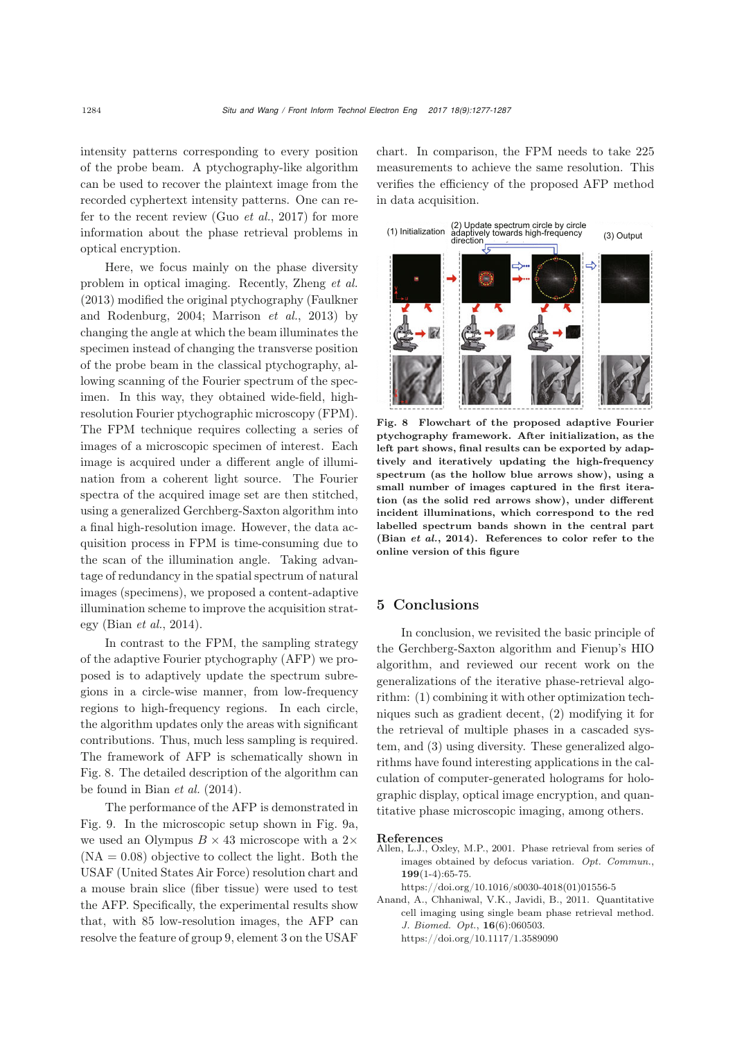intensity patterns corresponding to every position of the probe beam. A ptychography-like algorithm can be used to recover the plaintext image from the recorded cyphertext intensity patterns. One can refer to the recent review (Guo *[et al.](#page-9-23)*, [2017\)](#page-9-23) for more information about the phase retrieval problems in optical encryption.

Here, we focus mainly on the phase diversity problem in optical imaging. Recently, [Zheng](#page-10-6) *et al.* [\(2013](#page-10-6)) modified [the](#page-8-9) [original](#page-8-9) [ptychography](#page-8-9) [\(](#page-8-9)Faulkner and Rodenburg, [2004;](#page-8-9) [Marrison](#page-9-21) *et al.*, [2013](#page-9-21)) by changing the angle at which the beam illuminates the specimen instead of changing the transverse position of the probe beam in the classical ptychography, allowing scanning of the Fourier spectrum of the specimen. In this way, they obtained wide-field, highresolution Fourier ptychographic microscopy (FPM). The FPM technique requires collecting a series of images of a microscopic specimen of interest. Each image is acquired under a different angle of illumination from a coherent light source. The Fourier spectra of the acquired image set are then stitched, using a generalized Gerchberg-Saxton algorithm into a final high-resolution image. However, the data acquisition process in FPM is time-consuming due to the scan of the illumination angle. Taking advantage of redundancy in the spatial spectrum of natural images (specimens), we proposed a content-adaptive illumination scheme to improve the acquisition strategy [\(Bian](#page-8-11) *et al.*, [2014\)](#page-8-11).

In contrast to the FPM, the sampling strategy of the adaptive Fourier ptychography (AFP) we proposed is to adaptively update the spectrum subregions in a circle-wise manner, from low-frequency regions to high-frequency regions. In each circle, the algorithm updates only the areas with significant contributions. Thus, much less sampling is required. The framework of AFP is schematically shown in Fig. [8.](#page-7-2) The detailed description of the algorithm can be found in [Bian](#page-8-11) *et al.* [\(2014](#page-8-11)).

The performance of the AFP is demonstrated in Fig. [9.](#page-8-12) In the microscopic setup shown in Fig. [9a](#page-8-12), we used an Olympus  $B \times 43$  microscope with a 2 $\times$  $(NA = 0.08)$  objective to collect the light. Both the USAF (United States Air Force) resolution chart and a mouse brain slice (fiber tissue) were used to test the AFP. Specifically, the experimental results show that, with 85 low-resolution images, the AFP can resolve the feature of group 9, element 3 on the USAF

chart. In comparison, the FPM needs to take 225 measurements to achieve the same resolution. This verifies the efficiency of the proposed AFP method in data acquisition.



<span id="page-7-2"></span>Fig. 8 Flowchart of the proposed adaptive Fourier ptychography framework. After initialization, as the left part shows, final results can be exported by adaptively and iteratively updating the high-frequency spectrum (as the hollow blue arrows show), using a small number of images captured in the first iteration (as the solid red arrows show), under different incident illuminations, which correspond to the red labelled spectrum bands shown in the central part (Bian *[et al.](#page-8-11)*, [2014\)](#page-8-11). References to color refer to the online version of this figure

## 5 Conclusions

In conclusion, we revisited the basic principle of the Gerchberg-Saxton algorithm and Fienup's HIO algorithm, and reviewed our recent work on the generalizations of the iterative phase-retrieval algorithm: (1) combining it with other optimization techniques such as gradient decent, (2) modifying it for the retrieval of multiple phases in a cascaded system, and (3) using diversity. These generalized algorithms have found interesting applications in the calculation of computer-generated holograms for holographic display, optical image encryption, and quantitative phase microscopic imaging, among others.

#### References

- <span id="page-7-0"></span>Allen, L.J., Oxley, M.P., 2001. Phase retrieval from series of images obtained by defocus variation. *Opt. Commun.*, 199(1-4):65-75.
	- https://doi.org/10.1016/s0030-4018(01)01556-5
- <span id="page-7-1"></span>Anand, A., Chhaniwal, V.K., Javidi, B., 2011. Quantitative cell imaging using single beam phase retrieval method. *J. Biomed. Opt.*, 16(6):060503. https://doi.org/10.1117/1.3589090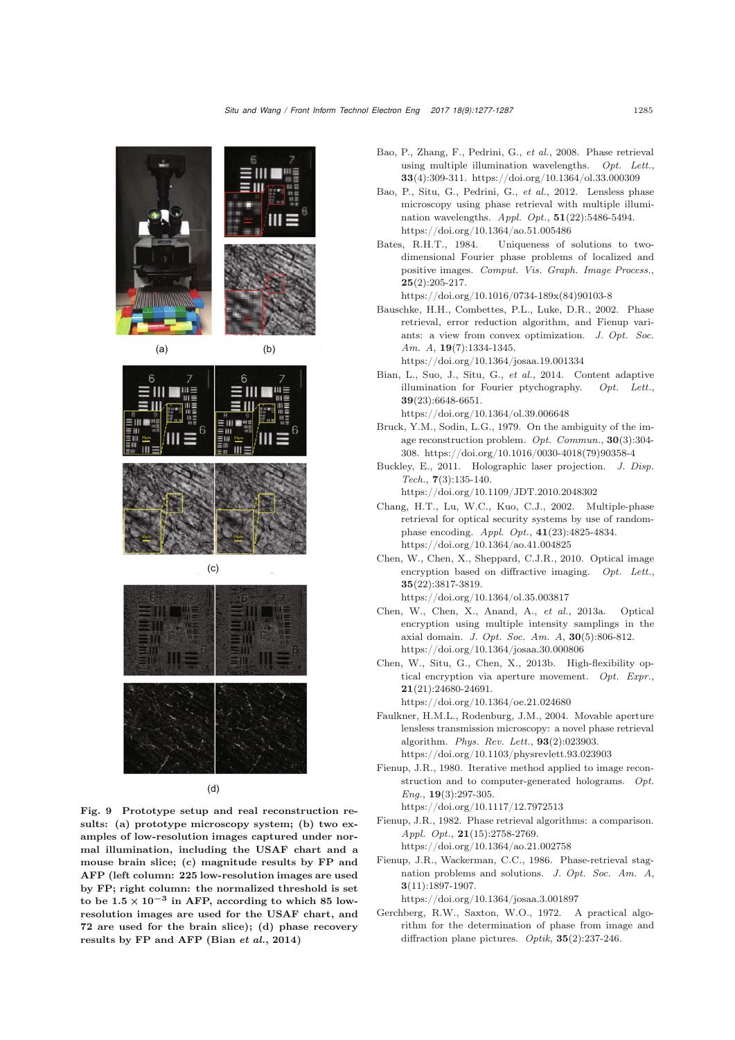

<span id="page-8-12"></span>Fig. 9 Prototype setup and real reconstruction results: (a) prototype microscopy system; (b) two examples of low-resolution images captured under normal illumination, including the USAF chart and a mouse brain slice; (c) magnitude results by FP and AFP (left column: 225 low-resolution images are used by FP; right column: the normalized threshold is set to be  $1.5 \times 10^{-3}$  in AFP, according to which 85 lowresolution images are used for the USAF chart, and 72 are used for the brain slice); (d) phase recovery results by FP and AFP [\(Bian](#page-8-11) *et al.*, [2014](#page-8-11))

- Bao, P., Zhang, F., Pedrini, G., *et al.*, 2008. Phase retrieval using multiple illumination wavelengths. *Opt. Lett.*, 33(4):309-311. https://doi.org/10.1364/ol.33.000309
- Bao, P., Situ, G., Pedrini, G., *et al.*, 2012. Lensless phase microscopy using phase retrieval with multiple illumination wavelengths. *Appl. Opt.*, 51(22):5486-5494. https://doi.org/10.1364/ao.51.005486
- <span id="page-8-4"></span>Bates, R.H.T., 1984. Uniqueness of solutions to twodimensional Fourier phase problems of localized and positive images. *Comput. Vis. Graph. Image Process.*,  $25(2):205-217.$

https://doi.org/10.1016/0734-189x(84)90103-8

- <span id="page-8-5"></span>Bauschke, H.H., Combettes, P.L., Luke, D.R., 2002. Phase retrieval, error reduction algorithm, and Fienup variants: a view from convex optimization. *J. Opt. Soc. Am. A*, 19(7):1334-1345. https://doi.org/10.1364/josaa.19.001334
- <span id="page-8-11"></span>Bian, L., Suo, J., Situ, G., *et al.*, 2014. Content adaptive illumination for Fourier ptychography. *Opt. Lett.*, 39(23):6648-6651. https://doi.org/10.1364/ol.39.006648
- <span id="page-8-3"></span>Bruck, Y.M., Sodin, L.G., 1979. On the ambiguity of the image reconstruction problem. *Opt. Commun.*, 30(3):304- 308. https://doi.org/10.1016/0030-4018(79)90358-4
- <span id="page-8-7"></span>Buckley, E., 2011. Holographic laser projection. *J. Disp. Tech.*, 7(3):135-140. https://doi.org/10.1109/JDT.2010.2048302

<span id="page-8-8"></span>Chang, H.T., Lu, W.C., Kuo, C.J., 2002. Multiple-phase retrieval for optical security systems by use of randomphase encoding. *Appl. Opt.*, 41(23):4825-4834. https://doi.org/10.1364/ao.41.004825

- Chen, W., Chen, X., Sheppard, C.J.R., 2010. Optical image encryption based on diffractive imaging. *Opt. Lett.*, 35(22):3817-3819. https://doi.org/10.1364/ol.35.003817
- Chen, W., Chen, X., Anand, A., *et al.*, 2013a. Optical encryption using multiple intensity samplings in the axial domain. *J. Opt. Soc. Am. A*, 30(5):806-812. https://doi.org/10.1364/josaa.30.000806
- <span id="page-8-10"></span>Chen, W., Situ, G., Chen, X., 2013b. High-flexibility optical encryption via aperture movement. *Opt. Expr.*, 21(21):24680-24691.

https://doi.org/10.1364/oe.21.024680

- <span id="page-8-9"></span>Faulkner, H.M.L., Rodenburg, J.M., 2004. Movable aperture lensless transmission microscopy: a novel phase retrieval algorithm. *Phys. Rev. Lett.*, 93(2):023903. https://doi.org/10.1103/physrevlett.93.023903
- <span id="page-8-1"></span>Fienup, J.R., 1980. Iterative method applied to image reconstruction and to computer-generated holograms. *Opt. Eng.*, 19(3):297-305.

https://doi.org/10.1117/12.7972513

<span id="page-8-2"></span>Fienup, J.R., 1982. Phase retrieval algorithms: a comparison. *Appl. Opt.*, 21(15):2758-2769. https://doi.org/10.1364/ao.21.002758

<span id="page-8-6"></span>Fienup, J.R., Wackerman, C.C., 1986. Phase-retrieval stag-

nation problems and solutions. *J. Opt. Soc. Am. A*, 3(11):1897-1907.

https://doi.org/10.1364/josaa.3.001897

<span id="page-8-0"></span>Gerchberg, R.W., Saxton, W.O., 1972. A practical algorithm for the determination of phase from image and diffraction plane pictures. *Optik*, 35(2):237-246.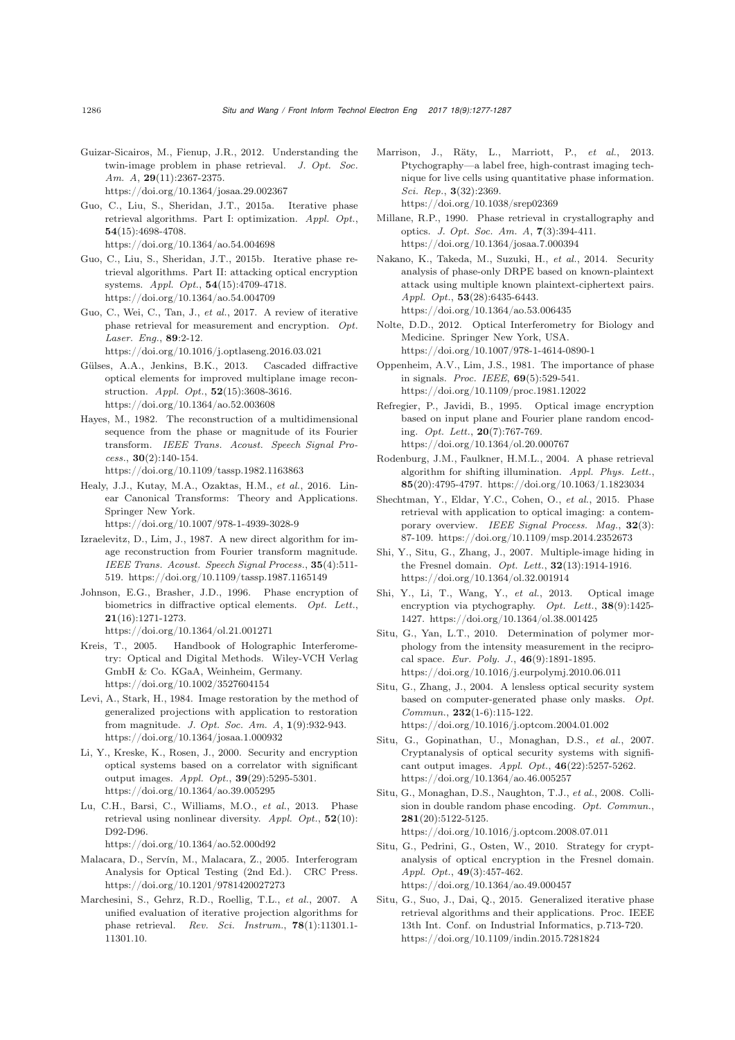- <span id="page-9-12"></span>Guizar-Sicairos, M., Fienup, J.R., 2012. Understanding the twin-image problem in phase retrieval. *J. Opt. Soc. Am. A*, 29(11):2367-2375. https://doi.org/10.1364/josaa.29.002367
- Guo, C., Liu, S., Sheridan, J.T., 2015a. Iterative phase retrieval algorithms. Part I: optimization. *Appl. Opt.*, 54(15):4698-4708. https://doi.org/10.1364/ao.54.004698
- Guo, C., Liu, S., Sheridan, J.T., 2015b. Iterative phase retrieval algorithms. Part II: attacking optical encryption systems. *Appl. Opt.*, 54(15):4709-4718. https://doi.org/10.1364/ao.54.004709
- <span id="page-9-23"></span>Guo, C., Wei, C., Tan, J., *et al.*, 2017. A review of iterative phase retrieval for measurement and encryption. *Opt. Laser. Eng.*, 89:2-12.

https://doi.org/10.1016/j.optlaseng.2016.03.021

- <span id="page-9-19"></span>Gülses, A.A., Jenkins, B.K., 2013. Cascaded diffractive optical elements for improved multiplane image reconstruction. *Appl. Opt.*, 52(15):3608-3616. https://doi.org/10.1364/ao.52.003608
- <span id="page-9-8"></span>Hayes, M., 1982. The reconstruction of a multidimensional sequence from the phase or magnitude of its Fourier transform. *IEEE Trans. Acoust. Speech Signal Process.*, 30(2):140-154. https://doi.org/10.1109/tassp.1982.1163863
- <span id="page-9-7"></span>Healy, J.J., Kutay, M.A., Ozaktas, H.M., *et al.*, 2016. Linear Canonical Transforms: Theory and Applications. Springer New York.

https://doi.org/10.1007/978-1-4939-3028-9

- <span id="page-9-9"></span>Izraelevitz, D., Lim, J., 1987. A new direct algorithm for image reconstruction from Fourier transform magnitude. *IEEE Trans. Acoust. Speech Signal Process.*, 35(4):511- 519. https://doi.org/10.1109/tassp.1987.1165149
- <span id="page-9-15"></span>Johnson, E.G., Brasher, J.D., 1996. Phase encryption of biometrics in diffractive optical elements. *Opt. Lett.*, 21(16):1271-1273.

https://doi.org/10.1364/ol.21.001271

- <span id="page-9-1"></span>Kreis, T., 2005. Handbook of Holographic Interferometry: Optical and Digital Methods. Wiley-VCH Verlag GmbH & Co. KGaA, Weinheim, Germany. https://doi.org/10.1002/3527604154
- <span id="page-9-10"></span>Levi, A., Stark, H., 1984. Image restoration by the method of generalized projections with application to restoration from magnitude. *J. Opt. Soc. Am. A*, 1(9):932-943. https://doi.org/10.1364/josaa.1.000932
- <span id="page-9-16"></span>Li, Y., Kreske, K., Rosen, J., 2000. Security and encryption optical systems based on a correlator with significant output images. *Appl. Opt.*, 39(29):5295-5301. https://doi.org/10.1364/ao.39.005295
- <span id="page-9-22"></span>Lu, C.H., Barsi, C., Williams, M.O., *et al.*, 2013. Phase retrieval using nonlinear diversity. *Appl. Opt.*, 52(10): D92-D96.

https://doi.org/10.1364/ao.52.000d92

- <span id="page-9-2"></span>Malacara, D., Servín, M., Malacara, Z., 2005. Interferogram Analysis for Optical Testing (2nd Ed.). CRC Press. https://doi.org/10.1201/9781420027273
- <span id="page-9-11"></span>Marchesini, S., Gehrz, R.D., Roellig, T.L., *et al.*, 2007. A unified evaluation of iterative projection algorithms for phase retrieval. *Rev. Sci. Instrum.*, 78(1):11301.1- 11301.10.
- <span id="page-9-21"></span>Marrison, J., Räty, L., Marriott, P., *et al.*, 2013. Ptychography—a label free, high-contrast imaging technique for live cells using quantitative phase information. *Sci. Rep.*, 3(32):2369. https://doi.org/10.1038/srep02369
- <span id="page-9-4"></span>Millane, R.P., 1990. Phase retrieval in crystallography and optics. *J. Opt. Soc. Am. A*, 7(3):394-411. https://doi.org/10.1364/josaa.7.000394
- Nakano, K., Takeda, M., Suzuki, H., *et al.*, 2014. Security analysis of phase-only DRPE based on known-plaintext attack using multiple known plaintext-ciphertext pairs. *Appl. Opt.*, 53(28):6435-6443. https://doi.org/10.1364/ao.53.006435
- <span id="page-9-3"></span>Nolte, D.D., 2012. Optical Interferometry for Biology and Medicine. Springer New York, USA. https://doi.org/10.1007/978-1-4614-0890-1
- <span id="page-9-0"></span>Oppenheim, A.V., Lim, J.S., 1981. The importance of phase in signals. *Proc. IEEE*, 69(5):529-541. https://doi.org/10.1109/proc.1981.12022
- <span id="page-9-14"></span>Refregier, P., Javidi, B., 1995. Optical image encryption based on input plane and Fourier plane random encoding. *Opt. Lett.*, 20(7):767-769. https://doi.org/10.1364/ol.20.000767
- <span id="page-9-20"></span>Rodenburg, J.M., Faulkner, H.M.L., 2004. A phase retrieval algorithm for shifting illumination. *Appl. Phys. Lett.*, 85(20):4795-4797. https://doi.org/10.1063/1.1823034
- <span id="page-9-5"></span>Shechtman, Y., Eldar, Y.C., Cohen, O., *et al.*, 2015. Phase retrieval with application to optical imaging: a contemporary overview. *IEEE Signal Process. Mag.*, 32(3): 87-109. https://doi.org/10.1109/msp.2014.2352673
- <span id="page-9-18"></span>Shi, Y., Situ, G., Zhang, J., 2007. Multiple-image hiding in the Fresnel domain. *Opt. Lett.*, 32(13):1914-1916. https://doi.org/10.1364/ol.32.001914
- Shi, Y., Li, T., Wang, Y., *et al.*, 2013. Optical image encryption via ptychography. *Opt. Lett.*, 38(9):1425- 1427. https://doi.org/10.1364/ol.38.001425
- <span id="page-9-13"></span>Situ, G., Yan, L.T., 2010. Determination of polymer morphology from the intensity measurement in the reciprocal space. *Eur. Poly. J.*, 46(9):1891-1895. https://doi.org/10.1016/j.eurpolymj.2010.06.011
- <span id="page-9-17"></span>Situ, G., Zhang, J., 2004. A lensless optical security system based on computer-generated phase only masks. *Opt. Commun.*, 232(1-6):115-122. https://doi.org/10.1016/j.optcom.2004.01.002
- Situ, G., Gopinathan, U., Monaghan, D.S., *et al.*, 2007. Cryptanalysis of optical security systems with significant output images. *Appl. Opt.*, 46(22):5257-5262. https://doi.org/10.1364/ao.46.005257
- Situ, G., Monaghan, D.S., Naughton, T.J., *et al.*, 2008. Collision in double random phase encoding. *Opt. Commun.*, 281(20):5122-5125. https://doi.org/10.1016/j.optcom.2008.07.011
- Situ, G., Pedrini, G., Osten, W., 2010. Strategy for cryptanalysis of optical encryption in the Fresnel domain. *Appl. Opt.*, 49(3):457-462. https://doi.org/10.1364/ao.49.000457
- <span id="page-9-6"></span>Situ, G., Suo, J., Dai, Q., 2015. Generalized iterative phase retrieval algorithms and their applications. Proc. IEEE 13th Int. Conf. on Industrial Informatics, p.713-720. https://doi.org/10.1109/indin.2015.7281824